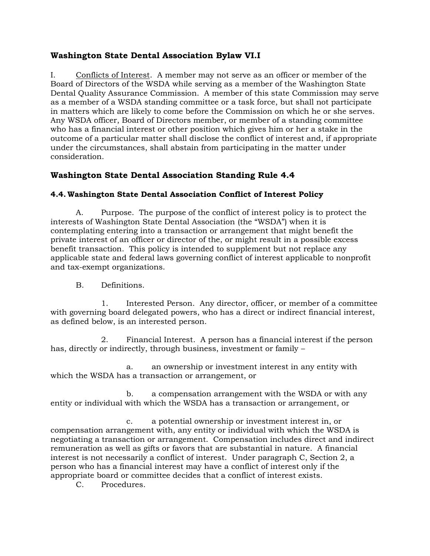## **Washington State Dental Association Bylaw VI.I**

I. Conflicts of Interest. A member may not serve as an officer or member of the Board of Directors of the WSDA while serving as a member of the Washington State Dental Quality Assurance Commission. A member of this state Commission may serve as a member of a WSDA standing committee or a task force, but shall not participate in matters which are likely to come before the Commission on which he or she serves. Any WSDA officer, Board of Directors member, or member of a standing committee who has a financial interest or other position which gives him or her a stake in the outcome of a particular matter shall disclose the conflict of interest and, if appropriate under the circumstances, shall abstain from participating in the matter under consideration.

## **Washington State Dental Association Standing Rule 4.4**

## **4.4. Washington State Dental Association Conflict of Interest Policy**

A. Purpose. The purpose of the conflict of interest policy is to protect the interests of Washington State Dental Association (the "WSDA") when it is contemplating entering into a transaction or arrangement that might benefit the private interest of an officer or director of the, or might result in a possible excess benefit transaction. This policy is intended to supplement but not replace any applicable state and federal laws governing conflict of interest applicable to nonprofit and tax-exempt organizations.

## B. Definitions.

1. Interested Person. Any director, officer, or member of a committee with governing board delegated powers, who has a direct or indirect financial interest, as defined below, is an interested person.

2. Financial Interest. A person has a financial interest if the person has, directly or indirectly, through business, investment or family –

a. an ownership or investment interest in any entity with which the WSDA has a transaction or arrangement, or

b. a compensation arrangement with the WSDA or with any entity or individual with which the WSDA has a transaction or arrangement, or

c. a potential ownership or investment interest in, or compensation arrangement with, any entity or individual with which the WSDA is negotiating a transaction or arrangement. Compensation includes direct and indirect remuneration as well as gifts or favors that are substantial in nature. A financial interest is not necessarily a conflict of interest. Under paragraph C, Section 2, a person who has a financial interest may have a conflict of interest only if the appropriate board or committee decides that a conflict of interest exists.

C. Procedures.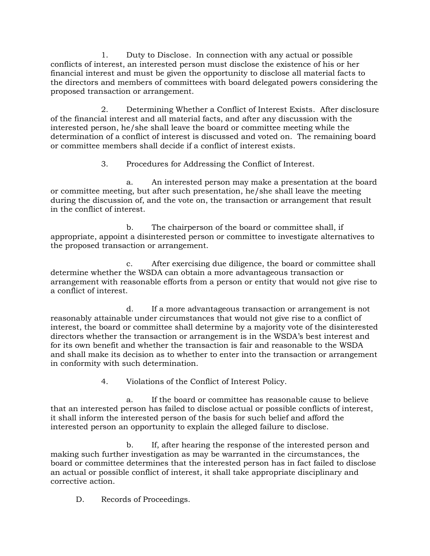1. Duty to Disclose. In connection with any actual or possible conflicts of interest, an interested person must disclose the existence of his or her financial interest and must be given the opportunity to disclose all material facts to the directors and members of committees with board delegated powers considering the proposed transaction or arrangement.

2. Determining Whether a Conflict of Interest Exists. After disclosure of the financial interest and all material facts, and after any discussion with the interested person, he/she shall leave the board or committee meeting while the determination of a conflict of interest is discussed and voted on. The remaining board or committee members shall decide if a conflict of interest exists.

3. Procedures for Addressing the Conflict of Interest.

a. An interested person may make a presentation at the board or committee meeting, but after such presentation, he/she shall leave the meeting during the discussion of, and the vote on, the transaction or arrangement that result in the conflict of interest.

b. The chairperson of the board or committee shall, if appropriate, appoint a disinterested person or committee to investigate alternatives to the proposed transaction or arrangement.

c. After exercising due diligence, the board or committee shall determine whether the WSDA can obtain a more advantageous transaction or arrangement with reasonable efforts from a person or entity that would not give rise to a conflict of interest.

d. If a more advantageous transaction or arrangement is not reasonably attainable under circumstances that would not give rise to a conflict of interest, the board or committee shall determine by a majority vote of the disinterested directors whether the transaction or arrangement is in the WSDA's best interest and for its own benefit and whether the transaction is fair and reasonable to the WSDA and shall make its decision as to whether to enter into the transaction or arrangement in conformity with such determination.

4. Violations of the Conflict of Interest Policy.

a. If the board or committee has reasonable cause to believe that an interested person has failed to disclose actual or possible conflicts of interest, it shall inform the interested person of the basis for such belief and afford the interested person an opportunity to explain the alleged failure to disclose.

b. If, after hearing the response of the interested person and making such further investigation as may be warranted in the circumstances, the board or committee determines that the interested person has in fact failed to disclose an actual or possible conflict of interest, it shall take appropriate disciplinary and corrective action.

D. Records of Proceedings.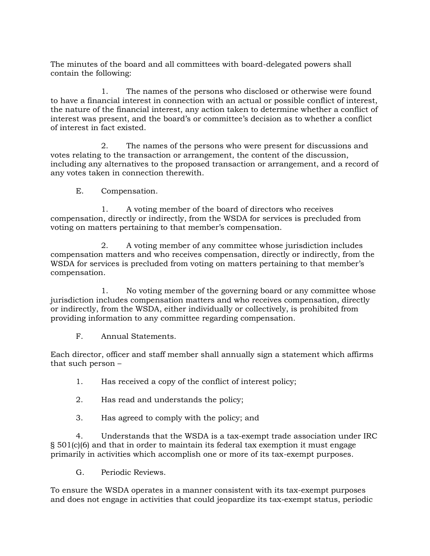The minutes of the board and all committees with board-delegated powers shall contain the following:

1. The names of the persons who disclosed or otherwise were found to have a financial interest in connection with an actual or possible conflict of interest, the nature of the financial interest, any action taken to determine whether a conflict of interest was present, and the board's or committee's decision as to whether a conflict of interest in fact existed.

2. The names of the persons who were present for discussions and votes relating to the transaction or arrangement, the content of the discussion, including any alternatives to the proposed transaction or arrangement, and a record of any votes taken in connection therewith.

E. Compensation.

1. A voting member of the board of directors who receives compensation, directly or indirectly, from the WSDA for services is precluded from voting on matters pertaining to that member's compensation.

2. A voting member of any committee whose jurisdiction includes compensation matters and who receives compensation, directly or indirectly, from the WSDA for services is precluded from voting on matters pertaining to that member's compensation.

1. No voting member of the governing board or any committee whose jurisdiction includes compensation matters and who receives compensation, directly or indirectly, from the WSDA, either individually or collectively, is prohibited from providing information to any committee regarding compensation.

F. Annual Statements.

Each director, officer and staff member shall annually sign a statement which affirms that such person –

1. Has received a copy of the conflict of interest policy;

2. Has read and understands the policy;

3. Has agreed to comply with the policy; and

4. Understands that the WSDA is a tax-exempt trade association under IRC § 501(c)(6) and that in order to maintain its federal tax exemption it must engage primarily in activities which accomplish one or more of its tax-exempt purposes.

G. Periodic Reviews.

To ensure the WSDA operates in a manner consistent with its tax-exempt purposes and does not engage in activities that could jeopardize its tax-exempt status, periodic